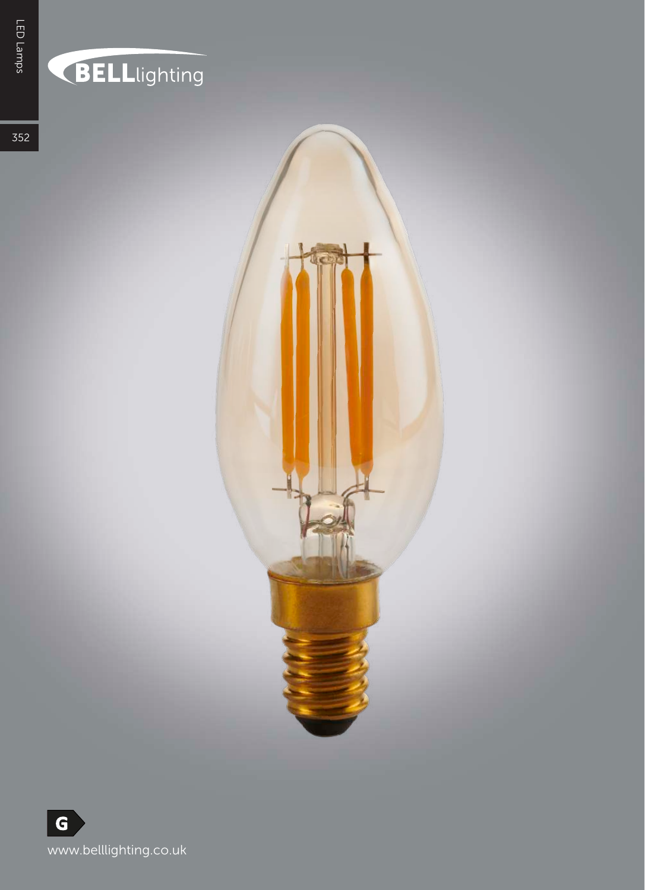## **BELL**lighting

352